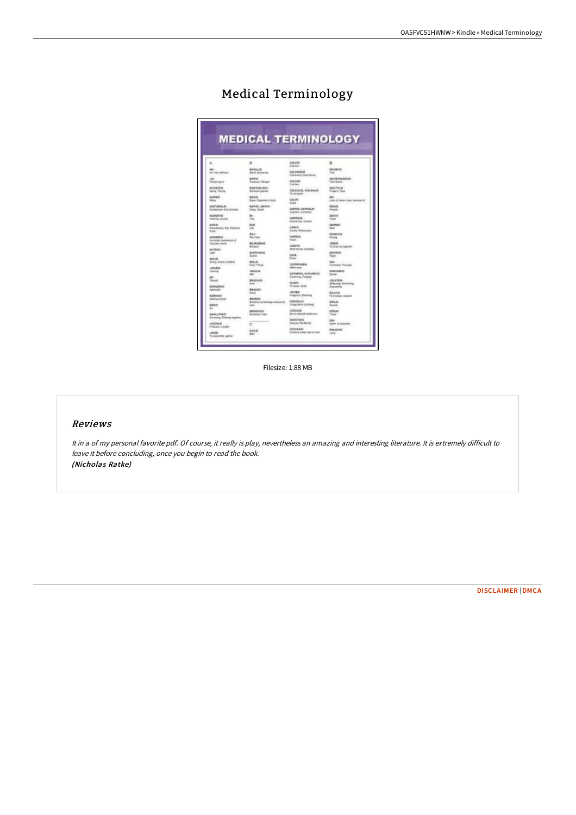|                                         | <b>MEDICAL TERMINOLOGY</b>                                         |                                                       |                                          |
|-----------------------------------------|--------------------------------------------------------------------|-------------------------------------------------------|------------------------------------------|
|                                         |                                                                    |                                                       |                                          |
| a                                       | 8                                                                  | CALCO<br>Deblere                                      | o                                        |
| AAL.                                    | <b>BACKLYD</b>                                                     | <b>CALCANDIO</b>                                      | DACAYOD.                                 |
| No. Not: Without                        | <b>Bacili (Sezuria)</b>                                            | Cutcarena (free) layed -                              | Tear                                     |
| AG.                                     | <b>BARG</b>                                                        | CALCIVE                                               | <b>BACRYGADENG</b>                       |
| Personne to                             | Pressure: Weight                                                   | Catchets.                                             | Tear Gland                               |
| <b>ACANTNO</b>                          | <b>BARTHOLINO</b>                                                  | CALISIAN CALISAN                                      | <b>GACTYLIG</b>                          |
| <b>Sales: Thoray</b>                    | Samuss gaves                                                       | To compute                                            | Fingers, Tess                            |
| <b>ACABIO</b>                           | <b>BASIC</b>                                                       | CALLIS                                                | ne.                                      |
| <b>Minn</b>                             | Base: Deposite of and                                              | Exiye                                                 | Cars of mury lass newcard                |
| ACCTREULIO                              | BATHO, BANKI,                                                      | CAPBIS, CAPELLIS                                      | ORMAD                                    |
| Anatomian (Highland)                    | Deal: Deals                                                        | <b>Captule, Cortaner</b>                              | Pauzie                                   |
| ACQUIERO                                |                                                                    | CARCRUS                                               | <b>DENTS</b>                             |
| Hearing Brond                           | Tex                                                                | Casosina, Cassar                                      | Taubic                                   |
| acons.                                  | mon                                                                | <b>CANVO</b>                                          | <b>INCRANCY</b>                          |
| Externeigh Tap Sidness                  | <b>CAL</b>                                                         | Carlos, Rutteressue                                   | <b>Stairs</b>                            |
| Polair                                  | <b>BILLY</b>                                                       | CARSIG                                                | 06540043                                 |
| ACROMIC                                 | <b>Blv: Gall</b>                                                   | Flash F                                               | Drama                                    |
| Actoryte pretenting of                  | BERLONG                                                            | CANFID-                                               | 44, 644                                  |
| Moulier benefi                          | Biratte.                                                           | <b>TARGET START CONTRACT</b>                          | To twind: Aw Augentine                   |
| <b>ACTIVE</b>                           | <b>BLEPHARIO</b>                                                   | CATA:                                                 | DESTRIO                                  |
| Light                                   | <b>Event</b>                                                       | Elsiers                                               | Robin                                    |
| <b>Arsam</b>                            | 801.0                                                              | CATAPHANIA                                            | DGL-                                     |
| Stay: Sept. Sublet                      | Cast: Three                                                        | <b>Allamation</b>                                     | Conques: Through                         |
| -ACUBIS                                 | <b>ADULUS</b>                                                      | <b>CATHARIO, CATHARTIO</b>                            | DIAPHORO                                 |
| <b>Tidamas</b>                          | Wi                                                                 |                                                       | <b>Swing</b>                             |
| AD<br><b>Flamindi</b>                   | BRACHUD<br>Ave.                                                    | Cleaning, Parging<br><b>CLIN/IS</b><br>Ta stope, band | <b>JOLATION</b><br>Welening Divisioning  |
| ADENGELIO<br>Advision<br><b>ADAIEMO</b> | <b>BRACION</b><br><b>Shirt</b>                                     | <b>CLYSS</b><br><b>Erlageltern Marching</b>           | Expanding<br>DLATIO                      |
| Advisor Grant<br><b>ALBIO</b>           | BRONIO<br><b>USSN Links</b><br>Stanley containing compound.<br>saw | <b>CORDULID</b><br><b>Cuasaners (Instruct)</b>        | To entiripe, majored<br>DIFLID<br>Dealer |
| a.                                      | <b><i>BRONCHIO</i></b>                                             | COCCUS                                                | <b>DIRECT</b>                            |
| <b>AGGLUTING</b>                        | Browchial Tube                                                     | Elevey alreased taxatevuure                           | Tieran                                   |
| Clumping: Sinding together              |                                                                    | coccysio<br>ConnectTel Bales                          | 55-                                      |
| <b>ACODUE</b>                           | C                                                                  | 000480                                                | Apart. Is separate                       |
| Foldster Leader                         | GALVO                                                              | Cochies (osen part of suit)                           | 006,45440                                |

## Medical Terminology

Filesize: 1.88 MB

## Reviews

It in <sup>a</sup> of my personal favorite pdf. Of course, it really is play, nevertheless an amazing and interesting literature. It is extremely difficult to leave it before concluding, once you begin to read the book. (Nicholas Ratke)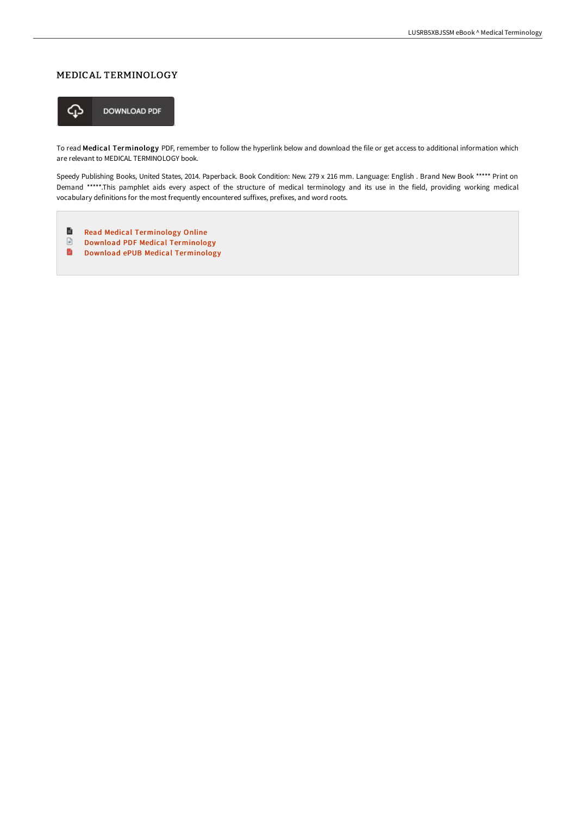## MEDICAL TERMINOLOGY



To read Medical Terminology PDF, remember to follow the hyperlink below and download the file or get access to additional information which are relevant to MEDICAL TERMINOLOGY book.

Speedy Publishing Books, United States, 2014. Paperback. Book Condition: New. 279 x 216 mm. Language: English . Brand New Book \*\*\*\*\* Print on Demand \*\*\*\*\*.This pamphlet aids every aspect of the structure of medical terminology and its use in the field, providing working medical vocabulary definitions for the most frequently encountered suffixes, prefixes, and word roots.

- $\blacksquare$ Read Medical [Terminology](http://www.bookdirs.com/medical-terminology-paperback.html) Online
- $\ensuremath{\boxdot}$ Download PDF Medical [Terminology](http://www.bookdirs.com/medical-terminology-paperback.html)
- B Download ePUB Medical [Terminology](http://www.bookdirs.com/medical-terminology-paperback.html)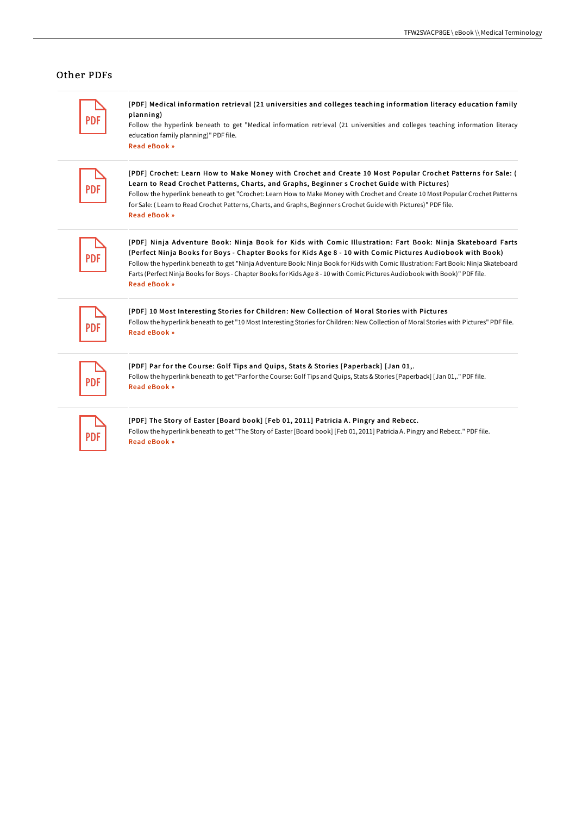## Other PDFs

| _____                    |
|--------------------------|
| $\overline{\phantom{a}}$ |

[PDF] Medical information retrieval (21 universities and colleges teaching information literacy education f amily planning)

Follow the hyperlink beneath to get "Medical information retrieval (21 universities and colleges teaching information literacy education family planning)" PDF file. Read [eBook](http://www.bookdirs.com/medical-information-retrieval-21-universities-an.html) »

| <b>Contract Contract Contract Contract Contract Contract Contract Contract Contract Contract Contract Contract C</b><br>______ |
|--------------------------------------------------------------------------------------------------------------------------------|
| $\sim$                                                                                                                         |

[PDF] Crochet: Learn How to Make Money with Crochet and Create 10 Most Popular Crochet Patterns for Sale: ( Learn to Read Crochet Patterns, Charts, and Graphs, Beginner s Crochet Guide with Pictures) Follow the hyperlink beneath to get "Crochet: Learn How to Make Money with Crochet and Create 10 Most Popular Crochet Patterns for Sale: ( Learn to Read Crochet Patterns, Charts, and Graphs, Beginner s Crochet Guide with Pictures)" PDF file. Read [eBook](http://www.bookdirs.com/crochet-learn-how-to-make-money-with-crochet-and.html) »

[PDF] Ninja Adventure Book: Ninja Book for Kids with Comic Illustration: Fart Book: Ninja Skateboard Farts (Perfect Ninja Books for Boys - Chapter Books for Kids Age 8 - 10 with Comic Pictures Audiobook with Book) Follow the hyperlink beneath to get "Ninja Adventure Book: Ninja Book for Kids with Comic Illustration: Fart Book: Ninja Skateboard Farts (Perfect Ninja Books for Boys - Chapter Books for Kids Age 8 - 10 with ComicPictures Audiobook with Book)" PDF file. Read [eBook](http://www.bookdirs.com/ninja-adventure-book-ninja-book-for-kids-with-co.html) »

| _____  |
|--------|
| ٠<br>× |

[PDF] 10 Most Interesting Stories for Children: New Collection of Moral Stories with Pictures Follow the hyperlink beneath to get "10 Most Interesting Stories for Children: New Collection of Moral Stories with Pictures" PDF file. Read [eBook](http://www.bookdirs.com/10-most-interesting-stories-for-children-new-col.html) »

| P. |  |
|----|--|

[PDF] Par for the Course: Golf Tips and Quips, Stats & Stories [Paperback] [Jan 01,. Follow the hyperlink beneath to get "Par for the Course: Golf Tips and Quips, Stats & Stories [Paperback] [Jan 01,." PDF file. Read [eBook](http://www.bookdirs.com/par-for-the-course-golf-tips-and-quips-stats-amp.html) »

| and the state of the state of the state of the state of the state of the state of the state of the state of th<br>_____ |  |
|-------------------------------------------------------------------------------------------------------------------------|--|
| .,                                                                                                                      |  |

[PDF] The Story of Easter [Board book] [Feb 01, 2011] Patricia A. Pingry and Rebecc. Follow the hyperlink beneath to get "The Story of Easter [Board book] [Feb 01, 2011] Patricia A. Pingry and Rebecc." PDF file. Read [eBook](http://www.bookdirs.com/the-story-of-easter-board-book-feb-01-2011-patri.html) »